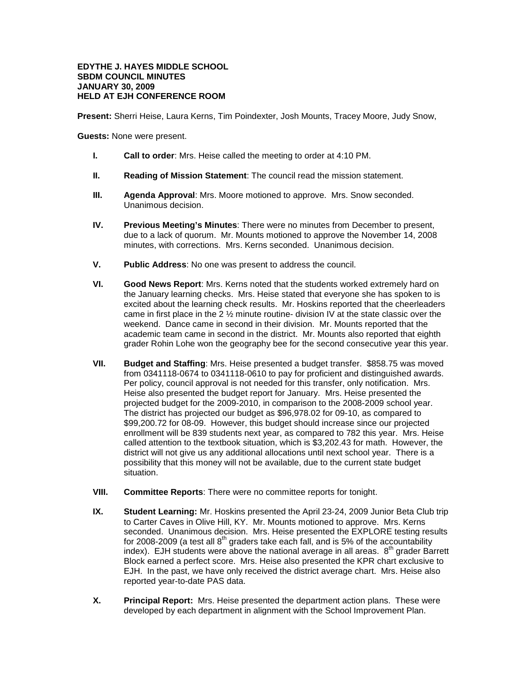## **EDYTHE J. HAYES MIDDLE SCHOOL SBDM COUNCIL MINUTES JANUARY 30, 2009 HELD AT EJH CONFERENCE ROOM**

**Present:** Sherri Heise, Laura Kerns, Tim Poindexter, Josh Mounts, Tracey Moore, Judy Snow,

**Guests:** None were present.

- **I. Call to order**: Mrs. Heise called the meeting to order at 4:10 PM.
- **II. Reading of Mission Statement**: The council read the mission statement.
- **III. Agenda Approval**: Mrs. Moore motioned to approve. Mrs. Snow seconded. Unanimous decision.
- **IV. Previous Meeting's Minutes**: There were no minutes from December to present, due to a lack of quorum. Mr. Mounts motioned to approve the November 14, 2008 minutes, with corrections. Mrs. Kerns seconded. Unanimous decision.
- **V. Public Address**: No one was present to address the council.
- **VI. Good News Report**: Mrs. Kerns noted that the students worked extremely hard on the January learning checks. Mrs. Heise stated that everyone she has spoken to is excited about the learning check results. Mr. Hoskins reported that the cheerleaders came in first place in the 2 ½ minute routine- division IV at the state classic over the weekend. Dance came in second in their division. Mr. Mounts reported that the academic team came in second in the district. Mr. Mounts also reported that eighth grader Rohin Lohe won the geography bee for the second consecutive year this year.
- **VII. Budget and Staffing**: Mrs. Heise presented a budget transfer. \$858.75 was moved from 0341118-0674 to 0341118-0610 to pay for proficient and distinguished awards. Per policy, council approval is not needed for this transfer, only notification. Mrs. Heise also presented the budget report for January. Mrs. Heise presented the projected budget for the 2009-2010, in comparison to the 2008-2009 school year. The district has projected our budget as \$96,978.02 for 09-10, as compared to \$99,200.72 for 08-09. However, this budget should increase since our projected enrollment will be 839 students next year, as compared to 782 this year. Mrs. Heise called attention to the textbook situation, which is \$3,202.43 for math. However, the district will not give us any additional allocations until next school year. There is a possibility that this money will not be available, due to the current state budget situation.
- **VIII. Committee Reports**: There were no committee reports for tonight.
- **IX. Student Learning:** Mr. Hoskins presented the April 23-24, 2009 Junior Beta Club trip to Carter Caves in Olive Hill, KY. Mr. Mounts motioned to approve. Mrs. Kerns seconded. Unanimous decision. Mrs. Heise presented the EXPLORE testing results for 2008-2009 (a test all  $8<sup>th</sup>$  graders take each fall, and is 5% of the accountability index). EJH students were above the national average in all areas.  $8<sup>th</sup>$  grader Barrett Block earned a perfect score. Mrs. Heise also presented the KPR chart exclusive to EJH. In the past, we have only received the district average chart. Mrs. Heise also reported year-to-date PAS data.
- **X. Principal Report:** Mrs. Heise presented the department action plans. These were developed by each department in alignment with the School Improvement Plan.